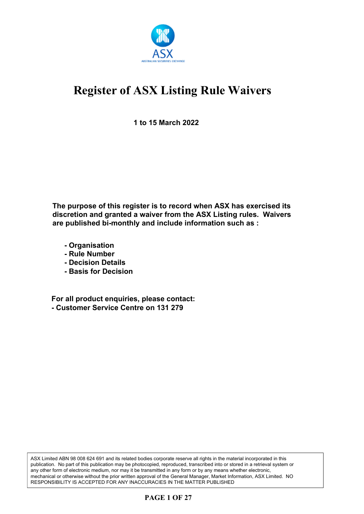

**1 to 15 March 2022**

**The purpose of this register is to record when ASX has exercised its discretion and granted a waiver from the ASX Listing rules. Waivers are published bi-monthly and include information such as :**

- **Organisation**
- **Rule Number**
- **Decision Details**
- **Basis for Decision**

**For all product enquiries, please contact: - Customer Service Centre on 131 279**

ASX Limited ABN 98 008 624 691 and its related bodies corporate reserve all rights in the material incorporated in this publication. No part of this publication may be photocopied, reproduced, transcribed into or stored in a retrieval system or any other form of electronic medium, nor may it be transmitted in any form or by any means whether electronic, mechanical or otherwise without the prior written approval of the General Manager, Market Information, ASX Limited. NO RESPONSIBILITY IS ACCEPTED FOR ANY INACCURACIES IN THE MATTER PUBLISHED

### **PAGE 1 OF 27**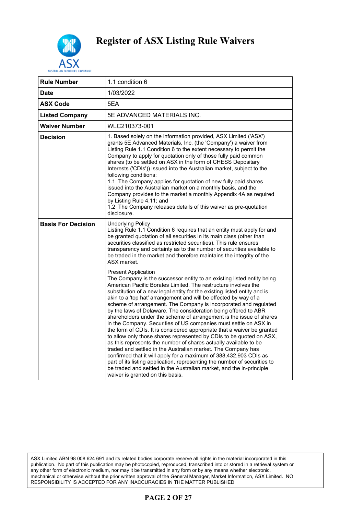

| <b>Rule Number</b>        | 1.1 condition 6                                                                                                                                                                                                                                                                                                                                                                                                                                                                                                                                                                                                                                                                                                                                                                                                                                                                                                                                                                                                                                                                                                                                              |
|---------------------------|--------------------------------------------------------------------------------------------------------------------------------------------------------------------------------------------------------------------------------------------------------------------------------------------------------------------------------------------------------------------------------------------------------------------------------------------------------------------------------------------------------------------------------------------------------------------------------------------------------------------------------------------------------------------------------------------------------------------------------------------------------------------------------------------------------------------------------------------------------------------------------------------------------------------------------------------------------------------------------------------------------------------------------------------------------------------------------------------------------------------------------------------------------------|
| <b>Date</b>               | 1/03/2022                                                                                                                                                                                                                                                                                                                                                                                                                                                                                                                                                                                                                                                                                                                                                                                                                                                                                                                                                                                                                                                                                                                                                    |
| <b>ASX Code</b>           | 5EA                                                                                                                                                                                                                                                                                                                                                                                                                                                                                                                                                                                                                                                                                                                                                                                                                                                                                                                                                                                                                                                                                                                                                          |
| <b>Listed Company</b>     | 5E ADVANCED MATERIALS INC.                                                                                                                                                                                                                                                                                                                                                                                                                                                                                                                                                                                                                                                                                                                                                                                                                                                                                                                                                                                                                                                                                                                                   |
| <b>Waiver Number</b>      | WLC210373-001                                                                                                                                                                                                                                                                                                                                                                                                                                                                                                                                                                                                                                                                                                                                                                                                                                                                                                                                                                                                                                                                                                                                                |
| <b>Decision</b>           | 1. Based solely on the information provided, ASX Limited ('ASX')<br>grants 5E Advanced Materials, Inc. (the 'Company') a waiver from<br>Listing Rule 1.1 Condition 6 to the extent necessary to permit the<br>Company to apply for quotation only of those fully paid common<br>shares (to be settled on ASX in the form of CHESS Depositary<br>Interests ('CDIs')) issued into the Australian market, subject to the<br>following conditions:<br>1.1 The Company applies for quotation of new fully paid shares<br>issued into the Australian market on a monthly basis, and the<br>Company provides to the market a monthly Appendix 4A as required<br>by Listing Rule 4.11; and<br>1.2 The Company releases details of this waiver as pre-quotation<br>disclosure.                                                                                                                                                                                                                                                                                                                                                                                        |
| <b>Basis For Decision</b> | <b>Underlying Policy</b><br>Listing Rule 1.1 Condition 6 requires that an entity must apply for and<br>be granted quotation of all securities in its main class (other than<br>securities classified as restricted securities). This rule ensures<br>transparency and certainty as to the number of securities available to<br>be traded in the market and therefore maintains the integrity of the<br>ASX market.                                                                                                                                                                                                                                                                                                                                                                                                                                                                                                                                                                                                                                                                                                                                           |
|                           | <b>Present Application</b><br>The Company is the successor entity to an existing listed entity being<br>American Pacific Borates Limited. The restructure involves the<br>substitution of a new legal entity for the existing listed entity and is<br>akin to a 'top hat' arrangement and will be effected by way of a<br>scheme of arrangement. The Company is incorporated and regulated<br>by the laws of Delaware. The consideration being offered to ABR<br>shareholders under the scheme of arrangement is the issue of shares<br>in the Company. Securities of US companies must settle on ASX in<br>the form of CDIs. It is considered appropriate that a waiver be granted<br>to allow only those shares represented by CDIs to be quoted on ASX,<br>as this represents the number of shares actually available to be<br>traded and settled in the Australian market. The Company has<br>confirmed that it will apply for a maximum of 388,432,903 CDIs as<br>part of its listing application, representing the number of securities to<br>be traded and settled in the Australian market, and the in-principle<br>waiver is granted on this basis. |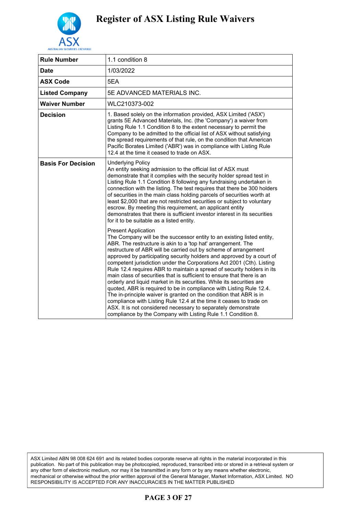

| <b>Rule Number</b>        | 1.1 condition 8                                                                                                                                                                                                                                                                                                                                                                                                                                                                                                                                                                                                                                                                                                                                                                                                                                                                                                                                                             |
|---------------------------|-----------------------------------------------------------------------------------------------------------------------------------------------------------------------------------------------------------------------------------------------------------------------------------------------------------------------------------------------------------------------------------------------------------------------------------------------------------------------------------------------------------------------------------------------------------------------------------------------------------------------------------------------------------------------------------------------------------------------------------------------------------------------------------------------------------------------------------------------------------------------------------------------------------------------------------------------------------------------------|
| Date                      | 1/03/2022                                                                                                                                                                                                                                                                                                                                                                                                                                                                                                                                                                                                                                                                                                                                                                                                                                                                                                                                                                   |
| <b>ASX Code</b>           | 5EA                                                                                                                                                                                                                                                                                                                                                                                                                                                                                                                                                                                                                                                                                                                                                                                                                                                                                                                                                                         |
| <b>Listed Company</b>     | 5E ADVANCED MATERIALS INC.                                                                                                                                                                                                                                                                                                                                                                                                                                                                                                                                                                                                                                                                                                                                                                                                                                                                                                                                                  |
| <b>Waiver Number</b>      | WLC210373-002                                                                                                                                                                                                                                                                                                                                                                                                                                                                                                                                                                                                                                                                                                                                                                                                                                                                                                                                                               |
| <b>Decision</b>           | 1. Based solely on the information provided, ASX Limited ('ASX')<br>grants 5E Advanced Materials, Inc. (the 'Company') a waiver from<br>Listing Rule 1.1 Condition 8 to the extent necessary to permit the<br>Company to be admitted to the official list of ASX without satisfying<br>the spread requirements of that rule, on the condition that American<br>Pacific Borates Limited ('ABR') was in compliance with Listing Rule<br>12.4 at the time it ceased to trade on ASX.                                                                                                                                                                                                                                                                                                                                                                                                                                                                                           |
| <b>Basis For Decision</b> | <b>Underlying Policy</b><br>An entity seeking admission to the official list of ASX must<br>demonstrate that it complies with the security holder spread test in<br>Listing Rule 1.1 Condition 8 following any fundraising undertaken in<br>connection with the listing. The test requires that there be 300 holders<br>of securities in the main class holding parcels of securities worth at<br>least \$2,000 that are not restricted securities or subject to voluntary<br>escrow. By meeting this requirement, an applicant entity<br>demonstrates that there is sufficient investor interest in its securities<br>for it to be suitable as a listed entity.                                                                                                                                                                                                                                                                                                            |
|                           | <b>Present Application</b><br>The Company will be the successor entity to an existing listed entity,<br>ABR. The restructure is akin to a 'top hat' arrangement. The<br>restructure of ABR will be carried out by scheme of arrangement<br>approved by participating security holders and approved by a court of<br>competent jurisdiction under the Corporations Act 2001 (Cth). Listing<br>Rule 12.4 requires ABR to maintain a spread of security holders in its<br>main class of securities that is sufficient to ensure that there is an<br>orderly and liquid market in its securities. While its securities are<br>quoted, ABR is required to be in compliance with Listing Rule 12.4.<br>The in-principle waiver is granted on the condition that ABR is in<br>compliance with Listing Rule 12.4 at the time it ceases to trade on<br>ASX. It is not considered necessary to separately demonstrate<br>compliance by the Company with Listing Rule 1.1 Condition 8. |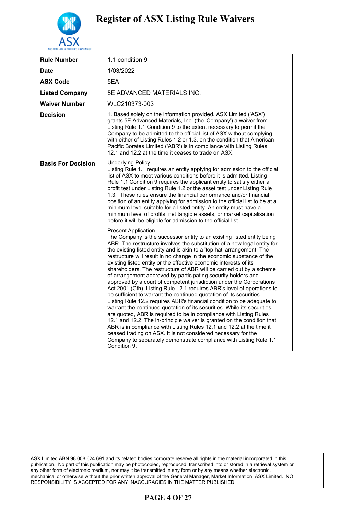

| <b>Rule Number</b>        | 1.1 condition 9                                                                                                                                                                                                                                                                                                                                                                                                                                                                                                                                                                                                                                                                                                                                                                                                                                                                                                                                                                                                                                                                                                                                                                                                                                                                                                  |
|---------------------------|------------------------------------------------------------------------------------------------------------------------------------------------------------------------------------------------------------------------------------------------------------------------------------------------------------------------------------------------------------------------------------------------------------------------------------------------------------------------------------------------------------------------------------------------------------------------------------------------------------------------------------------------------------------------------------------------------------------------------------------------------------------------------------------------------------------------------------------------------------------------------------------------------------------------------------------------------------------------------------------------------------------------------------------------------------------------------------------------------------------------------------------------------------------------------------------------------------------------------------------------------------------------------------------------------------------|
| Date                      | 1/03/2022                                                                                                                                                                                                                                                                                                                                                                                                                                                                                                                                                                                                                                                                                                                                                                                                                                                                                                                                                                                                                                                                                                                                                                                                                                                                                                        |
| <b>ASX Code</b>           | 5EA                                                                                                                                                                                                                                                                                                                                                                                                                                                                                                                                                                                                                                                                                                                                                                                                                                                                                                                                                                                                                                                                                                                                                                                                                                                                                                              |
| <b>Listed Company</b>     | 5E ADVANCED MATERIALS INC.                                                                                                                                                                                                                                                                                                                                                                                                                                                                                                                                                                                                                                                                                                                                                                                                                                                                                                                                                                                                                                                                                                                                                                                                                                                                                       |
| <b>Waiver Number</b>      | WLC210373-003                                                                                                                                                                                                                                                                                                                                                                                                                                                                                                                                                                                                                                                                                                                                                                                                                                                                                                                                                                                                                                                                                                                                                                                                                                                                                                    |
| <b>Decision</b>           | 1. Based solely on the information provided, ASX Limited ('ASX')<br>grants 5E Advanced Materials, Inc. (the 'Company') a waiver from<br>Listing Rule 1.1 Condition 9 to the extent necessary to permit the<br>Company to be admitted to the official list of ASX without complying<br>with either of Listing Rules 1.2 or 1.3, on the condition that American<br>Pacific Borates Limited ('ABR') is in compliance with Listing Rules<br>12.1 and 12.2 at the time it ceases to trade on ASX.                                                                                                                                                                                                                                                                                                                                                                                                                                                                                                                                                                                                                                                                                                                                                                                                                     |
| <b>Basis For Decision</b> | <b>Underlying Policy</b><br>Listing Rule 1.1 requires an entity applying for admission to the official<br>list of ASX to meet various conditions before it is admitted. Listing<br>Rule 1.1 Condition 9 requires the applicant entity to satisfy either a<br>profit test under Listing Rule 1.2 or the asset test under Listing Rule<br>1.3. These rules ensure the financial performance and/or financial<br>position of an entity applying for admission to the official list to be at a<br>minimum level suitable for a listed entity. An entity must have a<br>minimum level of profits, net tangible assets, or market capitalisation<br>before it will be eligible for admission to the official list.                                                                                                                                                                                                                                                                                                                                                                                                                                                                                                                                                                                                     |
|                           | <b>Present Application</b><br>The Company is the successor entity to an existing listed entity being<br>ABR. The restructure involves the substitution of a new legal entity for<br>the existing listed entity and is akin to a 'top hat' arrangement. The<br>restructure will result in no change in the economic substance of the<br>existing listed entity or the effective economic interests of its<br>shareholders. The restructure of ABR will be carried out by a scheme<br>of arrangement approved by participating security holders and<br>approved by a court of competent jurisdiction under the Corporations<br>Act 2001 (Cth). Listing Rule 12.1 requires ABR's level of operations to<br>be sufficient to warrant the continued quotation of its securities.<br>Listing Rule 12.2 requires ABR's financial condition to be adequate to<br>warrant the continued quotation of its securities. While its securities<br>are quoted, ABR is required to be in compliance with Listing Rules<br>12.1 and 12.2. The in-principle waiver is granted on the condition that<br>ABR is in compliance with Listing Rules 12.1 and 12.2 at the time it<br>ceased trading on ASX. It is not considered necessary for the<br>Company to separately demonstrate compliance with Listing Rule 1.1<br>Condition 9. |

ASX Limited ABN 98 008 624 691 and its related bodies corporate reserve all rights in the material incorporated in this publication. No part of this publication may be photocopied, reproduced, transcribed into or stored in a retrieval system or any other form of electronic medium, nor may it be transmitted in any form or by any means whether electronic, mechanical or otherwise without the prior written approval of the General Manager, Market Information, ASX Limited. NO RESPONSIBILITY IS ACCEPTED FOR ANY INACCURACIES IN THE MATTER PUBLISHED

### **PAGE 4 OF 27**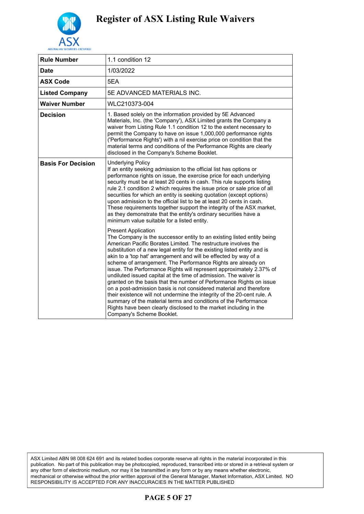

| <b>Rule Number</b>        | 1.1 condition 12                                                                                                                                                                                                                                                                                                                                                                                                                                                                                                                                                                                                                                                                                                                                                                                                                                                                                                               |
|---------------------------|--------------------------------------------------------------------------------------------------------------------------------------------------------------------------------------------------------------------------------------------------------------------------------------------------------------------------------------------------------------------------------------------------------------------------------------------------------------------------------------------------------------------------------------------------------------------------------------------------------------------------------------------------------------------------------------------------------------------------------------------------------------------------------------------------------------------------------------------------------------------------------------------------------------------------------|
| <b>Date</b>               | 1/03/2022                                                                                                                                                                                                                                                                                                                                                                                                                                                                                                                                                                                                                                                                                                                                                                                                                                                                                                                      |
| <b>ASX Code</b>           | 5EA                                                                                                                                                                                                                                                                                                                                                                                                                                                                                                                                                                                                                                                                                                                                                                                                                                                                                                                            |
| <b>Listed Company</b>     | 5E ADVANCED MATERIALS INC.                                                                                                                                                                                                                                                                                                                                                                                                                                                                                                                                                                                                                                                                                                                                                                                                                                                                                                     |
| <b>Waiver Number</b>      | WLC210373-004                                                                                                                                                                                                                                                                                                                                                                                                                                                                                                                                                                                                                                                                                                                                                                                                                                                                                                                  |
| <b>Decision</b>           | 1. Based solely on the information provided by 5E Advanced<br>Materials, Inc. (the 'Company'), ASX Limited grants the Company a<br>waiver from Listing Rule 1.1 condition 12 to the extent necessary to<br>permit the Company to have on issue 1,000,000 performance rights<br>('Performance Rights') with a nil exercise price on condition that the<br>material terms and conditions of the Performance Rights are clearly<br>disclosed in the Company's Scheme Booklet.                                                                                                                                                                                                                                                                                                                                                                                                                                                     |
| <b>Basis For Decision</b> | <b>Underlying Policy</b><br>If an entity seeking admission to the official list has options or<br>performance rights on issue, the exercise price for each underlying<br>security must be at least 20 cents in cash. This rule supports listing<br>rule 2.1 condition 2 which requires the issue price or sale price of all<br>securities for which an entity is seeking quotation (except options)<br>upon admission to the official list to be at least 20 cents in cash.<br>These requirements together support the integrity of the ASX market,<br>as they demonstrate that the entity's ordinary securities have a<br>minimum value suitable for a listed entity.                                                                                                                                                                                                                                                         |
|                           | <b>Present Application</b><br>The Company is the successor entity to an existing listed entity being<br>American Pacific Borates Limited. The restructure involves the<br>substitution of a new legal entity for the existing listed entity and is<br>akin to a 'top hat' arrangement and will be effected by way of a<br>scheme of arrangement. The Performance Rights are already on<br>issue. The Performance Rights will represent approximately 2.37% of<br>undiluted issued capital at the time of admission. The waiver is<br>granted on the basis that the number of Performance Rights on issue<br>on a post-admission basis is not considered material and therefore<br>their existence will not undermine the integrity of the 20-cent rule. A<br>summary of the material terms and conditions of the Performance<br>Rights have been clearly disclosed to the market including in the<br>Company's Scheme Booklet. |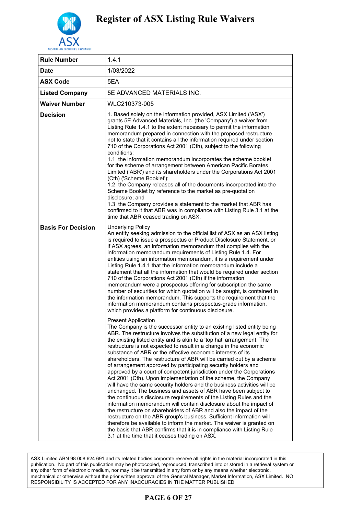

| <b>Rule Number</b>        | 1.4.1                                                                                                                                                                                                                                                                                                                                                                                                                                                                                                                                                                                                                                                                                                                                                                                                                                                                                                                                                                                                                                                                                                                                                                                                                                                                                                                         |
|---------------------------|-------------------------------------------------------------------------------------------------------------------------------------------------------------------------------------------------------------------------------------------------------------------------------------------------------------------------------------------------------------------------------------------------------------------------------------------------------------------------------------------------------------------------------------------------------------------------------------------------------------------------------------------------------------------------------------------------------------------------------------------------------------------------------------------------------------------------------------------------------------------------------------------------------------------------------------------------------------------------------------------------------------------------------------------------------------------------------------------------------------------------------------------------------------------------------------------------------------------------------------------------------------------------------------------------------------------------------|
| <b>Date</b>               | 1/03/2022                                                                                                                                                                                                                                                                                                                                                                                                                                                                                                                                                                                                                                                                                                                                                                                                                                                                                                                                                                                                                                                                                                                                                                                                                                                                                                                     |
| <b>ASX Code</b>           | 5EA                                                                                                                                                                                                                                                                                                                                                                                                                                                                                                                                                                                                                                                                                                                                                                                                                                                                                                                                                                                                                                                                                                                                                                                                                                                                                                                           |
| <b>Listed Company</b>     | 5E ADVANCED MATERIALS INC.                                                                                                                                                                                                                                                                                                                                                                                                                                                                                                                                                                                                                                                                                                                                                                                                                                                                                                                                                                                                                                                                                                                                                                                                                                                                                                    |
| <b>Waiver Number</b>      | WLC210373-005                                                                                                                                                                                                                                                                                                                                                                                                                                                                                                                                                                                                                                                                                                                                                                                                                                                                                                                                                                                                                                                                                                                                                                                                                                                                                                                 |
| <b>Decision</b>           | 1. Based solely on the information provided, ASX Limited ('ASX')<br>grants 5E Advanced Materials, Inc. (the 'Company') a waiver from<br>Listing Rule 1.4.1 to the extent necessary to permit the information<br>memorandum prepared in connection with the proposed restructure<br>not to state that it contains all the information required under section<br>710 of the Corporations Act 2001 (Cth), subject to the following<br>conditions:<br>1.1 the information memorandum incorporates the scheme booklet<br>for the scheme of arrangement between American Pacific Borates<br>Limited ('ABR') and its shareholders under the Corporations Act 2001<br>(Cth) ('Scheme Booklet');<br>1.2 the Company releases all of the documents incorporated into the<br>Scheme Booklet by reference to the market as pre-quotation<br>disclosure; and<br>1.3 the Company provides a statement to the market that ABR has<br>confirmed to it that ABR was in compliance with Listing Rule 3.1 at the<br>time that ABR ceased trading on ASX.                                                                                                                                                                                                                                                                                         |
| <b>Basis For Decision</b> | <b>Underlying Policy</b><br>An entity seeking admission to the official list of ASX as an ASX listing<br>is required to issue a prospectus or Product Disclosure Statement, or<br>if ASX agrees, an information memorandum that complies with the<br>information memorandum requirements of Listing Rule 1.4. For<br>entities using an information memorandum, it is a requirement under<br>Listing Rule 1.4.1 that the information memorandum include a<br>statement that all the information that would be required under section<br>710 of the Corporations Act 2001 (Cth) if the information<br>memorandum were a prospectus offering for subscription the same<br>number of securities for which quotation will be sought, is contained in<br>the information memorandum. This supports the requirement that the<br>information memorandum contains prospectus-grade information,<br>which provides a platform for continuous disclosure.                                                                                                                                                                                                                                                                                                                                                                                |
|                           | <b>Present Application</b><br>The Company is the successor entity to an existing listed entity being<br>ABR. The restructure involves the substitution of a new legal entity for<br>the existing listed entity and is akin to a 'top hat' arrangement. The<br>restructure is not expected to result in a change in the economic<br>substance of ABR or the effective economic interests of its<br>shareholders. The restructure of ABR will be carried out by a scheme<br>of arrangement approved by participating security holders and<br>approved by a court of competent jurisdiction under the Corporations<br>Act 2001 (Cth). Upon implementation of the scheme, the Company<br>will have the same security holders and the business activities will be<br>unchanged. The business and assets of ABR have been subject to<br>the continuous disclosure requirements of the Listing Rules and the<br>information memorandum will contain disclosure about the impact of<br>the restructure on shareholders of ABR and also the impact of the<br>restructure on the ABR group's business. Sufficient information will<br>therefore be available to inform the market. The waiver is granted on<br>the basis that ABR confirms that it is in compliance with Listing Rule<br>3.1 at the time that it ceases trading on ASX. |

### **PAGE 6 OF 27**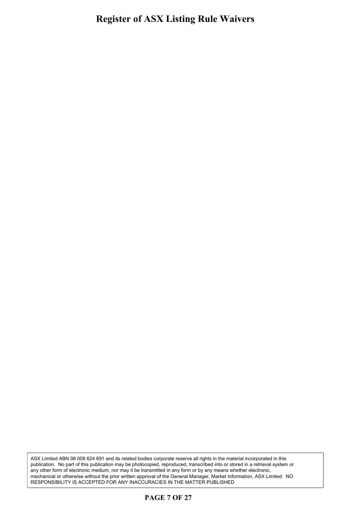ASX Limited ABN 98 008 624 691 and its related bodies corporate reserve all rights in the material incorporated in this publication. No part of this publication may be photocopied, reproduced, transcribed into or stored in a retrieval system or any other form of electronic medium, nor may it be transmitted in any form or by any means whether electronic, mechanical or otherwise without the prior written approval of the General Manager, Market Information, ASX Limited. NO RESPONSIBILITY IS ACCEPTED FOR ANY INACCURACIES IN THE MATTER PUBLISHED

#### **PAGE 7 OF 27**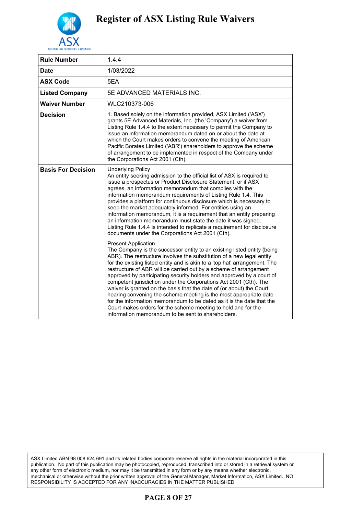

| <b>Rule Number</b>        | 1.4.4                                                                                                                                                                                                                                                                                                                                                                                                                                                                                                                                                                                                                                                                                                                                                                                                                        |
|---------------------------|------------------------------------------------------------------------------------------------------------------------------------------------------------------------------------------------------------------------------------------------------------------------------------------------------------------------------------------------------------------------------------------------------------------------------------------------------------------------------------------------------------------------------------------------------------------------------------------------------------------------------------------------------------------------------------------------------------------------------------------------------------------------------------------------------------------------------|
| Date                      | 1/03/2022                                                                                                                                                                                                                                                                                                                                                                                                                                                                                                                                                                                                                                                                                                                                                                                                                    |
| <b>ASX Code</b>           | 5EA                                                                                                                                                                                                                                                                                                                                                                                                                                                                                                                                                                                                                                                                                                                                                                                                                          |
| <b>Listed Company</b>     | 5E ADVANCED MATERIALS INC.                                                                                                                                                                                                                                                                                                                                                                                                                                                                                                                                                                                                                                                                                                                                                                                                   |
| <b>Waiver Number</b>      | WLC210373-006                                                                                                                                                                                                                                                                                                                                                                                                                                                                                                                                                                                                                                                                                                                                                                                                                |
| <b>Decision</b>           | 1. Based solely on the information provided, ASX Limited ('ASX')<br>grants 5E Advanced Materials, Inc. (the 'Company') a waiver from<br>Listing Rule 1.4.4 to the extent necessary to permit the Company to<br>issue an information memorandum dated on or about the date at<br>which the Court makes orders to convene the meeting of American<br>Pacific Borates Limited ('ABR') shareholders to approve the scheme<br>of arrangement to be implemented in respect of the Company under<br>the Corporations Act 2001 (Cth).                                                                                                                                                                                                                                                                                                |
| <b>Basis For Decision</b> | <b>Underlying Policy</b><br>An entity seeking admission to the official list of ASX is required to<br>issue a prospectus or Product Disclosure Statement, or if ASX<br>agrees, an information memorandum that complies with the<br>information memorandum requirements of Listing Rule 1.4. This<br>provides a platform for continuous disclosure which is necessary to<br>keep the market adequately informed. For entities using an<br>information memorandum, it is a requirement that an entity preparing<br>an information memorandum must state the date it was signed.<br>Listing Rule 1.4.4 is intended to replicate a requirement for disclosure<br>documents under the Corporations Act 2001 (Cth).                                                                                                                |
|                           | <b>Present Application</b><br>The Company is the successor entity to an existing listed entity (being<br>ABR). The restructure involves the substitution of a new legal entity<br>for the existing listed entity and is akin to a 'top hat' arrangement. The<br>restructure of ABR will be carried out by a scheme of arrangement<br>approved by participating security holders and approved by a court of<br>competent jurisdiction under the Corporations Act 2001 (Cth). The<br>waiver is granted on the basis that the date of (or about) the Court<br>hearing convening the scheme meeting is the most appropriate date<br>for the information memorandum to be dated as it is the date that the<br>Court makes orders for the scheme meeting to held and for the<br>information memorandum to be sent to shareholders. |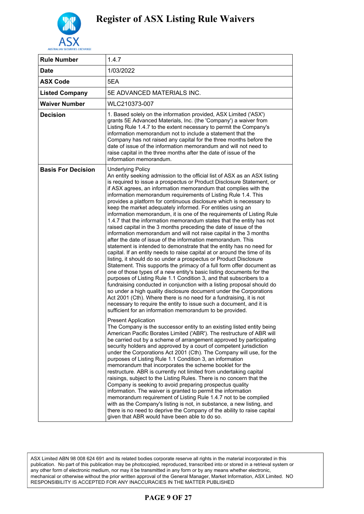

| <b>Rule Number</b>        | 1.4.7                                                                                                                                                                                                                                                                                                                                                                                                                                                                                                                                                                                                                                                                                                                                                                                                                                                                                                                                                                                                                                                                                                                                                                                                                                                                                                                                                                                                                                                                                                                                                                                                                         |
|---------------------------|-------------------------------------------------------------------------------------------------------------------------------------------------------------------------------------------------------------------------------------------------------------------------------------------------------------------------------------------------------------------------------------------------------------------------------------------------------------------------------------------------------------------------------------------------------------------------------------------------------------------------------------------------------------------------------------------------------------------------------------------------------------------------------------------------------------------------------------------------------------------------------------------------------------------------------------------------------------------------------------------------------------------------------------------------------------------------------------------------------------------------------------------------------------------------------------------------------------------------------------------------------------------------------------------------------------------------------------------------------------------------------------------------------------------------------------------------------------------------------------------------------------------------------------------------------------------------------------------------------------------------------|
| <b>Date</b>               | 1/03/2022                                                                                                                                                                                                                                                                                                                                                                                                                                                                                                                                                                                                                                                                                                                                                                                                                                                                                                                                                                                                                                                                                                                                                                                                                                                                                                                                                                                                                                                                                                                                                                                                                     |
| <b>ASX Code</b>           | 5EA                                                                                                                                                                                                                                                                                                                                                                                                                                                                                                                                                                                                                                                                                                                                                                                                                                                                                                                                                                                                                                                                                                                                                                                                                                                                                                                                                                                                                                                                                                                                                                                                                           |
| <b>Listed Company</b>     | 5E ADVANCED MATERIALS INC.                                                                                                                                                                                                                                                                                                                                                                                                                                                                                                                                                                                                                                                                                                                                                                                                                                                                                                                                                                                                                                                                                                                                                                                                                                                                                                                                                                                                                                                                                                                                                                                                    |
| <b>Waiver Number</b>      | WLC210373-007                                                                                                                                                                                                                                                                                                                                                                                                                                                                                                                                                                                                                                                                                                                                                                                                                                                                                                                                                                                                                                                                                                                                                                                                                                                                                                                                                                                                                                                                                                                                                                                                                 |
| <b>Decision</b>           | 1. Based solely on the information provided, ASX Limited ('ASX')<br>grants 5E Advanced Materials, Inc. (the 'Company') a waiver from<br>Listing Rule 1.4.7 to the extent necessary to permit the Company's<br>information memorandum not to include a statement that the<br>Company has not raised any capital for the three months before the<br>date of issue of the information memorandum and will not need to<br>raise capital in the three months after the date of issue of the<br>information memorandum.                                                                                                                                                                                                                                                                                                                                                                                                                                                                                                                                                                                                                                                                                                                                                                                                                                                                                                                                                                                                                                                                                                             |
| <b>Basis For Decision</b> | <b>Underlying Policy</b><br>An entity seeking admission to the official list of ASX as an ASX listing<br>is required to issue a prospectus or Product Disclosure Statement, or<br>if ASX agrees, an information memorandum that complies with the<br>information memorandum requirements of Listing Rule 1.4. This<br>provides a platform for continuous disclosure which is necessary to<br>keep the market adequately informed. For entities using an<br>information memorandum, it is one of the requirements of Listing Rule<br>1.4.7 that the information memorandum states that the entity has not<br>raised capital in the 3 months preceding the date of issue of the<br>information memorandum and will not raise capital in the 3 months<br>after the date of issue of the information memorandum. This<br>statement is intended to demonstrate that the entity has no need for<br>capital. If an entity needs to raise capital at or around the time of its<br>listing, it should do so under a prospectus or Product Disclosure<br>Statement. This supports the primacy of a full form offer document as<br>one of those types of a new entity's basic listing documents for the<br>purposes of Listing Rule 1.1 Condition 3, and that subscribers to a<br>fundraising conducted in conjunction with a listing proposal should do<br>so under a high quality disclosure document under the Corporations<br>Act 2001 (Cth). Where there is no need for a fundraising, it is not<br>necessary to require the entity to issue such a document, and it is<br>sufficient for an information memorandum to be provided. |
|                           | <b>Present Application</b><br>The Company is the successor entity to an existing listed entity being<br>American Pacific Borates Limited ('ABR'). The restructure of ABR will<br>be carried out by a scheme of arrangement approved by participating<br>security holders and approved by a court of competent jurisdiction<br>under the Corporations Act 2001 (Cth). The Company will use, for the<br>purposes of Listing Rule 1.1 Condition 3, an information<br>memorandum that incorporates the scheme booklet for the<br>restructure. ABR is currently not limited from undertaking capital<br>raisings, subject to the Listing Rules. There is no concern that the<br>Company is seeking to avoid preparing prospectus quality<br>information. The waiver is granted to permit the information<br>memorandum requirement of Listing Rule 1.4.7 not to be complied<br>with as the Company's listing is not, in substance, a new listing, and<br>there is no need to deprive the Company of the ability to raise capital<br>given that ABR would have been able to do so.                                                                                                                                                                                                                                                                                                                                                                                                                                                                                                                                                  |

### **PAGE 9 OF 27**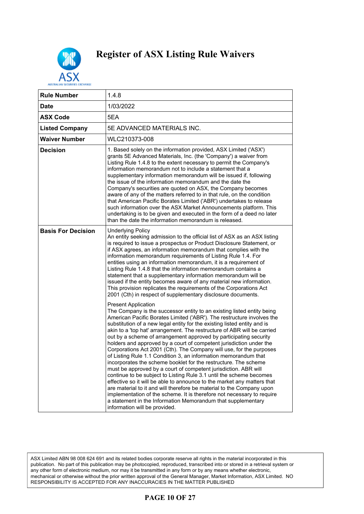

| AUSTRALIAN SECURITIES EXCHANGE |                                                                                                                                                                                                                                                                                                                                                                                                                                                                                                                                                                                                                                                                                                                                                                                                                                                                                                                                                                                                                                                                                                                                                                         |
|--------------------------------|-------------------------------------------------------------------------------------------------------------------------------------------------------------------------------------------------------------------------------------------------------------------------------------------------------------------------------------------------------------------------------------------------------------------------------------------------------------------------------------------------------------------------------------------------------------------------------------------------------------------------------------------------------------------------------------------------------------------------------------------------------------------------------------------------------------------------------------------------------------------------------------------------------------------------------------------------------------------------------------------------------------------------------------------------------------------------------------------------------------------------------------------------------------------------|
| <b>Rule Number</b>             | 1.4.8                                                                                                                                                                                                                                                                                                                                                                                                                                                                                                                                                                                                                                                                                                                                                                                                                                                                                                                                                                                                                                                                                                                                                                   |
| <b>Date</b>                    | 1/03/2022                                                                                                                                                                                                                                                                                                                                                                                                                                                                                                                                                                                                                                                                                                                                                                                                                                                                                                                                                                                                                                                                                                                                                               |
| <b>ASX Code</b>                | 5EA                                                                                                                                                                                                                                                                                                                                                                                                                                                                                                                                                                                                                                                                                                                                                                                                                                                                                                                                                                                                                                                                                                                                                                     |
| <b>Listed Company</b>          | 5E ADVANCED MATERIALS INC.                                                                                                                                                                                                                                                                                                                                                                                                                                                                                                                                                                                                                                                                                                                                                                                                                                                                                                                                                                                                                                                                                                                                              |
| <b>Waiver Number</b>           | WLC210373-008                                                                                                                                                                                                                                                                                                                                                                                                                                                                                                                                                                                                                                                                                                                                                                                                                                                                                                                                                                                                                                                                                                                                                           |
| <b>Decision</b>                | 1. Based solely on the information provided, ASX Limited ('ASX')<br>grants 5E Advanced Materials, Inc. (the 'Company') a waiver from<br>Listing Rule 1.4.8 to the extent necessary to permit the Company's<br>information memorandum not to include a statement that a<br>supplementary information memorandum will be issued if, following<br>the issue of the information memorandum and the date the<br>Company's securities are quoted on ASX, the Company becomes<br>aware of any of the matters referred to in that rule, on the condition<br>that American Pacific Borates Limited ('ABR') undertakes to release<br>such information over the ASX Market Announcements platform. This<br>undertaking is to be given and executed in the form of a deed no later<br>than the date the information memorandum is released.                                                                                                                                                                                                                                                                                                                                         |
| <b>Basis For Decision</b>      | <b>Underlying Policy</b><br>An entity seeking admission to the official list of ASX as an ASX listing<br>is required to issue a prospectus or Product Disclosure Statement, or<br>if ASX agrees, an information memorandum that complies with the<br>information memorandum requirements of Listing Rule 1.4. For<br>entities using an information memorandum, it is a requirement of<br>Listing Rule 1.4.8 that the information memorandum contains a<br>statement that a supplementary information memorandum will be<br>issued if the entity becomes aware of any material new information.<br>This provision replicates the requirements of the Corporations Act<br>2001 (Cth) in respect of supplementary disclosure documents.                                                                                                                                                                                                                                                                                                                                                                                                                                    |
|                                | <b>Present Application</b><br>The Company is the successor entity to an existing listed entity being<br>American Pacific Borates Limited ('ABR'). The restructure involves the<br>substitution of a new legal entity for the existing listed entity and is<br>akin to a 'top hat' arrangement. The restructure of ABR will be carried<br>out by a scheme of arrangement approved by participating security<br>holders and approved by a court of competent jurisdiction under the<br>Corporations Act 2001 (Cth). The Company will use, for the purposes<br>of Listing Rule 1.1 Condition 3, an information memorandum that<br>incorporates the scheme booklet for the restructure. The scheme<br>must be approved by a court of competent jurisdiction. ABR will<br>continue to be subject to Listing Rule 3.1 until the scheme becomes<br>effective so it will be able to announce to the market any matters that<br>are material to it and will therefore be material to the Company upon<br>implementation of the scheme. It is therefore not necessary to require<br>a statement in the Information Memorandum that supplementary<br>information will be provided. |

ASX Limited ABN 98 008 624 691 and its related bodies corporate reserve all rights in the material incorporated in this publication. No part of this publication may be photocopied, reproduced, transcribed into or stored in a retrieval system or any other form of electronic medium, nor may it be transmitted in any form or by any means whether electronic, mechanical or otherwise without the prior written approval of the General Manager, Market Information, ASX Limited. NO RESPONSIBILITY IS ACCEPTED FOR ANY INACCURACIES IN THE MATTER PUBLISHED

#### **PAGE 10 OF 27**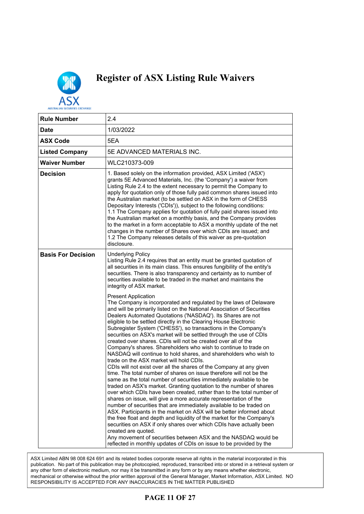

**Rule Number** 2.4 **Date** 1/03/2022 **ASX Code** 5EA Listed Company **5E ADVANCED MATERIALS INC. Waiver Number** WLC210373-009 **Decision** 1. Based solely on the information provided, ASX Limited ('ASX') grants 5E Advanced Materials, Inc. (the 'Company') a waiver from Listing Rule 2.4 to the extent necessary to permit the Company to apply for quotation only of those fully paid common shares issued into the Australian market (to be settled on ASX in the form of CHESS Depositary Interests ('CDIs')), subject to the following conditions: 1.1 The Company applies for quotation of fully paid shares issued into the Australian market on a monthly basis, and the Company provides to the market in a form acceptable to ASX a monthly update of the net changes in the number of Shares over which CDIs are issued; and 1.2 The Company releases details of this waiver as pre-quotation disclosure. **Basis For Decision** Underlying Policy Listing Rule 2.4 requires that an entity must be granted quotation of all securities in its main class. This ensures fungibility of the entity's securities. There is also transparency and certainty as to number of securities available to be traded in the market and maintains the integrity of ASX market. Present Application The Company is incorporated and regulated by the laws of Delaware and will be primarily listed on the National Association of Securities Dealers Automated Quotations ('NASDAQ'). Its Shares are not eligible to be settled directly in the Clearing House Electronic Subregister System ('CHESS'), so transactions in the Company's securities on ASX's market will be settled through the use of CDIs created over shares. CDIs will not be created over all of the Company's shares. Shareholders who wish to continue to trade on NASDAQ will continue to hold shares, and shareholders who wish to trade on the ASX market will hold CDIs. CDIs will not exist over all the shares of the Company at any given time. The total number of shares on issue therefore will not be the same as the total number of securities immediately available to be traded on ASX's market. Granting quotation to the number of shares over which CDIs have been created, rather than to the total number of shares on issue, will give a more accurate representation of the number of securities that are immediately available to be traded on ASX. Participants in the market on ASX will be better informed about the free float and depth and liquidity of the market for the Company's securities on ASX if only shares over which CDIs have actually been created are quoted. Any movement of securities between ASX and the NASDAQ would be reflected in monthly updates of CDIs on issue to be provided by the Company. With the market updates provided on a monthly basis the

ASX Limited ABN 98 008 624 691 and its related bodies corporate reserve all rights in the material incorporated in this publication. No part of this publication may be photocopied, reproduced, transcribed into or stored in a retrieval system or any other form of electronic medium, nor may it be transmitted in any form or by any means whether electronic, mechanical or otherwise without the prior written approval of the General Manager, Market Information, ASX Limited. NO RESPONSIBILITY IS ACCEPTED FOR ANY INACCURACIES IN THE MATTER PUBLISHED

### **PAGE 11 OF 27**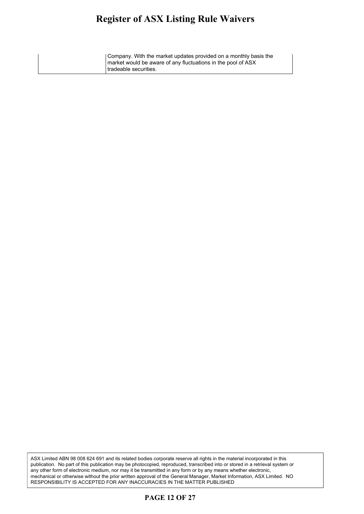#### **Register of ASX Listing Rule Waivers** gister of ASX-Listing Rule Waivers **in the best o** the free float and depth and liquidity of the market for the Company's

Company. With the market updates provided on a monthly basis the market would be aware of any fluctuations in the pool of ASX tradeable securities.

ASX Limited ABN 98 008 624 691 and its related bodies corporate reserve all rights in the material incorporated in this publication. No part of this publication may be photocopied, reproduced, transcribed into or stored in a retrieval system or any other form of electronic medium, nor may it be transmitted in any form or by any means whether electronic, mechanical or otherwise without the prior written approval of the General Manager, Market Information, ASX Limited. NO RESPONSIBILITY IS ACCEPTED FOR ANY INACCURACIES IN THE MATTER PUBLISHED

#### **PAGE 12 OF 27**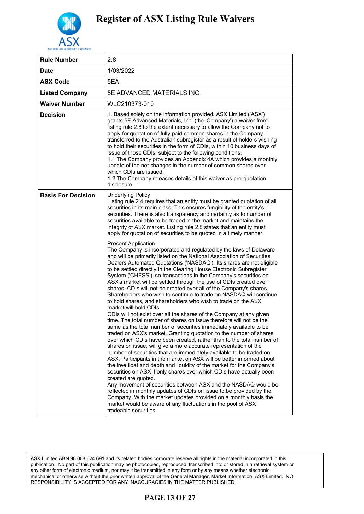

| <b>Rule Number</b>        | 2.8                                                                                                                                                                                                                                                                                                                                                                                                                                                                                                                                                                                                                                                                                                                                                                                                                                                                                              |
|---------------------------|--------------------------------------------------------------------------------------------------------------------------------------------------------------------------------------------------------------------------------------------------------------------------------------------------------------------------------------------------------------------------------------------------------------------------------------------------------------------------------------------------------------------------------------------------------------------------------------------------------------------------------------------------------------------------------------------------------------------------------------------------------------------------------------------------------------------------------------------------------------------------------------------------|
| <b>Date</b>               | 1/03/2022                                                                                                                                                                                                                                                                                                                                                                                                                                                                                                                                                                                                                                                                                                                                                                                                                                                                                        |
| <b>ASX Code</b>           | 5EA                                                                                                                                                                                                                                                                                                                                                                                                                                                                                                                                                                                                                                                                                                                                                                                                                                                                                              |
| <b>Listed Company</b>     | 5E ADVANCED MATERIALS INC.                                                                                                                                                                                                                                                                                                                                                                                                                                                                                                                                                                                                                                                                                                                                                                                                                                                                       |
| <b>Waiver Number</b>      | WLC210373-010                                                                                                                                                                                                                                                                                                                                                                                                                                                                                                                                                                                                                                                                                                                                                                                                                                                                                    |
| <b>Decision</b>           | 1. Based solely on the information provided, ASX Limited ('ASX')<br>grants 5E Advanced Materials, Inc. (the 'Company') a waiver from<br>listing rule 2.8 to the extent necessary to allow the Company not to<br>apply for quotation of fully paid common shares in the Company<br>transferred to the Australian subregister as a result of holders wishing<br>to hold their securities in the form of CDIs, within 10 business days of<br>issue of those CDIs, subject to the following conditions.<br>1.1 The Company provides an Appendix 4A which provides a monthly<br>update of the net changes in the number of common shares over<br>which CDIs are issued.<br>1.2 The Company releases details of this waiver as pre-quotation<br>disclosure.                                                                                                                                            |
| <b>Basis For Decision</b> | <b>Underlying Policy</b><br>Listing rule 2.4 requires that an entity must be granted quotation of all<br>securities in its main class. This ensures fungibility of the entity's<br>securities. There is also transparency and certainty as to number of<br>securities available to be traded in the market and maintains the<br>integrity of ASX market. Listing rule 2.8 states that an entity must<br>apply for quotation of securities to be quoted in a timely manner.                                                                                                                                                                                                                                                                                                                                                                                                                       |
|                           | <b>Present Application</b><br>The Company is incorporated and regulated by the laws of Delaware<br>and will be primarily listed on the National Association of Securities<br>Dealers Automated Quotations ('NASDAQ'). Its shares are not eligible<br>to be settled directly in the Clearing House Electronic Subregister<br>System ('CHESS'), so transactions in the Company's securities on<br>ASX's market will be settled through the use of CDIs created over<br>shares. CDIs will not be created over all of the Company's shares.<br>Shareholders who wish to continue to trade on NASDAQ will continue<br>to hold shares, and shareholders who wish to trade on the ASX<br>market will hold CDIs.<br>CDIs will not exist over all the shares of the Company at any given                                                                                                                  |
|                           | time. The total number of shares on issue therefore will not be the<br>same as the total number of securities immediately available to be<br>traded on ASX's market. Granting quotation to the number of shares<br>over which CDIs have been created, rather than to the total number of<br>shares on issue, will give a more accurate representation of the<br>number of securities that are immediately available to be traded on<br>ASX. Participants in the market on ASX will be better informed about<br>the free float and depth and liquidity of the market for the Company's<br>securities on ASX if only shares over which CDIs have actually been<br>created are quoted.<br>Any movement of securities between ASX and the NASDAQ would be<br>reflected in monthly updates of CDIs on issue to be provided by the<br>Company. With the market updates provided on a monthly basis the |
|                           | market would be aware of any fluctuations in the pool of ASX<br>tradeable securities.                                                                                                                                                                                                                                                                                                                                                                                                                                                                                                                                                                                                                                                                                                                                                                                                            |

### **PAGE 13 OF 27**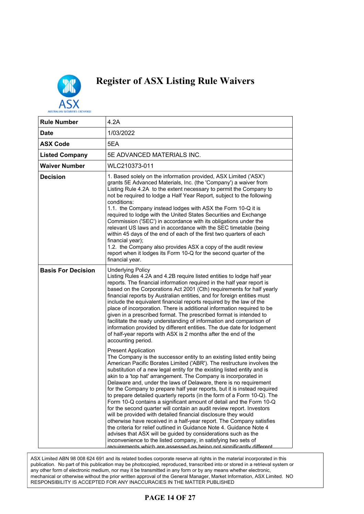

| <b>Rule Number</b>        | 4.2A                                                                                                                                                                                                                                                                                                                                                                                                                                                                                                                                                                                                                                                                                                                                                                                                                                                                                                                                                                                                                                                                                                                                   |
|---------------------------|----------------------------------------------------------------------------------------------------------------------------------------------------------------------------------------------------------------------------------------------------------------------------------------------------------------------------------------------------------------------------------------------------------------------------------------------------------------------------------------------------------------------------------------------------------------------------------------------------------------------------------------------------------------------------------------------------------------------------------------------------------------------------------------------------------------------------------------------------------------------------------------------------------------------------------------------------------------------------------------------------------------------------------------------------------------------------------------------------------------------------------------|
| <b>Date</b>               | 1/03/2022                                                                                                                                                                                                                                                                                                                                                                                                                                                                                                                                                                                                                                                                                                                                                                                                                                                                                                                                                                                                                                                                                                                              |
| <b>ASX Code</b>           | 5EA                                                                                                                                                                                                                                                                                                                                                                                                                                                                                                                                                                                                                                                                                                                                                                                                                                                                                                                                                                                                                                                                                                                                    |
| <b>Listed Company</b>     | 5E ADVANCED MATERIALS INC.                                                                                                                                                                                                                                                                                                                                                                                                                                                                                                                                                                                                                                                                                                                                                                                                                                                                                                                                                                                                                                                                                                             |
| <b>Waiver Number</b>      | WLC210373-011                                                                                                                                                                                                                                                                                                                                                                                                                                                                                                                                                                                                                                                                                                                                                                                                                                                                                                                                                                                                                                                                                                                          |
| <b>Decision</b>           | 1. Based solely on the information provided, ASX Limited ('ASX')<br>grants 5E Advanced Materials, Inc. (the 'Company') a waiver from<br>Listing Rule 4.2A to the extent necessary to permit the Company to<br>not be required to lodge a Half Year Report, subject to the following<br>conditions:<br>1.1. the Company instead lodges with ASX the Form 10-Q it is<br>required to lodge with the United States Securities and Exchange<br>Commission ('SEC') in accordance with its obligations under the<br>relevant US laws and in accordance with the SEC timetable (being<br>within 45 days of the end of each of the first two quarters of each<br>financial year);<br>1.2. the Company also provides ASX a copy of the audit review<br>report when it lodges its Form 10-Q for the second quarter of the<br>financial year.                                                                                                                                                                                                                                                                                                      |
| <b>Basis For Decision</b> | <b>Underlying Policy</b><br>Listing Rules 4.2A and 4.2B require listed entities to lodge half year<br>reports. The financial information required in the half year report is<br>based on the Corporations Act 2001 (Cth) requirements for half yearly<br>financial reports by Australian entities, and for foreign entities must<br>include the equivalent financial reports required by the law of the<br>place of incorporation. There is additional information required to be<br>given in a prescribed format. The prescribed format is intended to<br>facilitate the ready understanding of information and comparison of<br>information provided by different entities. The due date for lodgement<br>of half-year reports with ASX is 2 months after the end of the<br>accounting period.                                                                                                                                                                                                                                                                                                                                       |
|                           | <b>Present Application</b><br>The Company is the successor entity to an existing listed entity being<br>American Pacific Borates Limited ('ABR'). The restructure involves the<br>substitution of a new legal entity for the existing listed entity and is<br>akin to a 'top hat' arrangement. The Company is incorporated in<br>Delaware and, under the laws of Delaware, there is no requirement<br>for the Company to prepare half year reports, but it is instead required<br>to prepare detailed quarterly reports (in the form of a Form 10-Q). The<br>Form 10-Q contains a significant amount of detail and the Form 10-Q<br>for the second quarter will contain an audit review report. Investors<br>will be provided with detailed financial disclosure they would<br>otherwise have received in a half-year report. The Company satisfies<br>the criteria for relief outlined in Guidance Note 4. Guidance Note 4<br>advises that ASX will be guided by considerations such as the<br>inconvenience to the listed company, in satisfying two sets of<br>requirements which are assessed as being not significantly different |

outweighs any detriment to users of the ASX market from non-ASX Limited ABN 98 008 624 691 and its related bodies corporate reserve all rights in the material incorporated in this<br> publication. No part of this publication may be photocopied, reproduced, transcribed into or stored in a retrieval system or any other form of electronic medium, nor may it be transmitted in any form or by any means whether electronic,<br>we sharing the other rise without the miss with a second of the Occasi Marcosca. Market het westing, AQV to niedianical of otherwise without the phor whitten approval of the General Manager, Market find<br>RESPONSIBILITY IS ACCEPTED FOR ANY INACCURACIES IN THE MATTER PUBLISHED mechanical or otherwise without the prior written approval of the General Manager, Market Information, ASX Limited. NO

#### **PAGE 14 OF 27**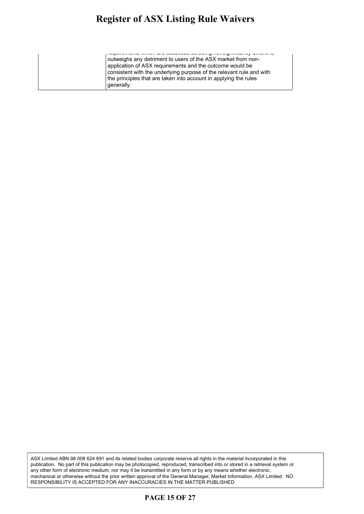#### **Register of ASX Listing Rule Waivers** gistel of  $A$ 5 $A$  listing nuit waivers

requirements which are assessed as being not significantly different, outweighs any detriment to users of the ASX market from nonapplication of ASX requirements and the outcome would be consistent with the underlying purpose of the relevant rule and with the principles that are taken into account in applying the rules generally.

ASX Limited ABN 98 008 624 691 and its related bodies corporate reserve all rights in the material incorporated in this publication. No part of this publication may be photocopied, reproduced, transcribed into or stored in a retrieval system or any other form of electronic medium, nor may it be transmitted in any form or by any means whether electronic, mechanical or otherwise without the prior written approval of the General Manager, Market Information, ASX Limited. NO RESPONSIBILITY IS ACCEPTED FOR ANY INACCURACIES IN THE MATTER PUBLISHED

#### **PAGE 15 OF 27**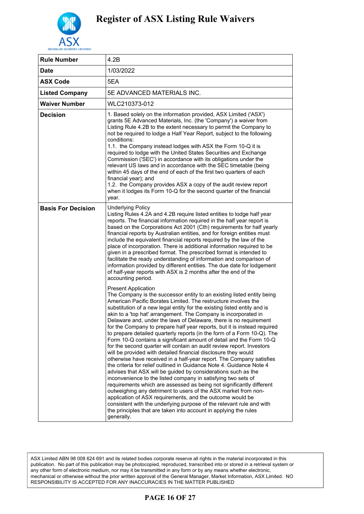

| <b>Rule Number</b>        | 4.2B                                                                                                                                                                                                                                                                                                                                                                                                                                                                                                                                                                                                                                                                                                                                                                                                                                                                                                                                                                                                                                                                                                                                                                                                                                                                                                                                                                                                                   |
|---------------------------|------------------------------------------------------------------------------------------------------------------------------------------------------------------------------------------------------------------------------------------------------------------------------------------------------------------------------------------------------------------------------------------------------------------------------------------------------------------------------------------------------------------------------------------------------------------------------------------------------------------------------------------------------------------------------------------------------------------------------------------------------------------------------------------------------------------------------------------------------------------------------------------------------------------------------------------------------------------------------------------------------------------------------------------------------------------------------------------------------------------------------------------------------------------------------------------------------------------------------------------------------------------------------------------------------------------------------------------------------------------------------------------------------------------------|
| <b>Date</b>               | 1/03/2022                                                                                                                                                                                                                                                                                                                                                                                                                                                                                                                                                                                                                                                                                                                                                                                                                                                                                                                                                                                                                                                                                                                                                                                                                                                                                                                                                                                                              |
| <b>ASX Code</b>           | 5EA                                                                                                                                                                                                                                                                                                                                                                                                                                                                                                                                                                                                                                                                                                                                                                                                                                                                                                                                                                                                                                                                                                                                                                                                                                                                                                                                                                                                                    |
| <b>Listed Company</b>     | 5E ADVANCED MATERIALS INC.                                                                                                                                                                                                                                                                                                                                                                                                                                                                                                                                                                                                                                                                                                                                                                                                                                                                                                                                                                                                                                                                                                                                                                                                                                                                                                                                                                                             |
| <b>Waiver Number</b>      | WLC210373-012                                                                                                                                                                                                                                                                                                                                                                                                                                                                                                                                                                                                                                                                                                                                                                                                                                                                                                                                                                                                                                                                                                                                                                                                                                                                                                                                                                                                          |
| <b>Decision</b>           | 1. Based solely on the information provided, ASX Limited ('ASX')<br>grants 5E Advanced Materials, Inc. (the 'Company') a waiver from<br>Listing Rule 4.2B to the extent necessary to permit the Company to<br>not be required to lodge a Half Year Report, subject to the following<br>conditions:<br>1.1. the Company instead lodges with ASX the Form 10-Q it is<br>required to lodge with the United States Securities and Exchange<br>Commission ('SEC') in accordance with its obligations under the<br>relevant US laws and in accordance with the SEC timetable (being<br>within 45 days of the end of each of the first two quarters of each<br>financial year); and<br>1.2. the Company provides ASX a copy of the audit review report<br>when it lodges its Form 10-Q for the second quarter of the financial<br>year.                                                                                                                                                                                                                                                                                                                                                                                                                                                                                                                                                                                       |
| <b>Basis For Decision</b> | <b>Underlying Policy</b><br>Listing Rules 4.2A and 4.2B require listed entities to lodge half year<br>reports. The financial information required in the half year report is<br>based on the Corporations Act 2001 (Cth) requirements for half yearly<br>financial reports by Australian entities, and for foreign entities must<br>include the equivalent financial reports required by the law of the<br>place of incorporation. There is additional information required to be<br>given in a prescribed format. The prescribed format is intended to<br>facilitate the ready understanding of information and comparison of<br>information provided by different entities. The due date for lodgement<br>of half-year reports with ASX is 2 months after the end of the<br>accounting period.                                                                                                                                                                                                                                                                                                                                                                                                                                                                                                                                                                                                                       |
|                           | <b>Present Application</b><br>The Company is the successor entity to an existing listed entity being<br>American Pacific Borates Limited. The restructure involves the<br>substitution of a new legal entity for the existing listed entity and is<br>akin to a 'top hat' arrangement. The Company is incorporated in<br>Delaware and, under the laws of Delaware, there is no requirement<br>for the Company to prepare half year reports, but it is instead required<br>to prepare detailed quarterly reports (in the form of a Form 10-Q). The<br>Form 10-Q contains a significant amount of detail and the Form 10-Q<br>for the second quarter will contain an audit review report. Investors<br>will be provided with detailed financial disclosure they would<br>otherwise have received in a half-year report. The Company satisfies<br>the criteria for relief outlined in Guidance Note 4. Guidance Note 4<br>advises that ASX will be guided by considerations such as the<br>inconvenience to the listed company in satisfying two sets of<br>requirements which are assessed as being not significantly different<br>outweighing any detriment to users of the ASX market from non-<br>application of ASX requirements, and the outcome would be<br>consistent with the underlying purpose of the relevant rule and with<br>the principles that are taken into account in applying the rules<br>generally. |

### **PAGE 16 OF 27**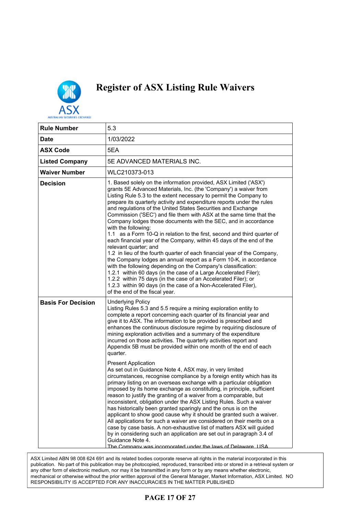

| <b>Rule Number</b>        | 5.3                                                                                                                                                                                                                                                                                                                                                                                                                                                                                                                                                                                                                                                                                                                                                                                                                                                                                                                                                                                                                                                                                                                                                          |
|---------------------------|--------------------------------------------------------------------------------------------------------------------------------------------------------------------------------------------------------------------------------------------------------------------------------------------------------------------------------------------------------------------------------------------------------------------------------------------------------------------------------------------------------------------------------------------------------------------------------------------------------------------------------------------------------------------------------------------------------------------------------------------------------------------------------------------------------------------------------------------------------------------------------------------------------------------------------------------------------------------------------------------------------------------------------------------------------------------------------------------------------------------------------------------------------------|
| <b>Date</b>               | 1/03/2022                                                                                                                                                                                                                                                                                                                                                                                                                                                                                                                                                                                                                                                                                                                                                                                                                                                                                                                                                                                                                                                                                                                                                    |
| <b>ASX Code</b>           | 5EA                                                                                                                                                                                                                                                                                                                                                                                                                                                                                                                                                                                                                                                                                                                                                                                                                                                                                                                                                                                                                                                                                                                                                          |
| <b>Listed Company</b>     | 5E ADVANCED MATERIALS INC.                                                                                                                                                                                                                                                                                                                                                                                                                                                                                                                                                                                                                                                                                                                                                                                                                                                                                                                                                                                                                                                                                                                                   |
| <b>Waiver Number</b>      | WLC210373-013                                                                                                                                                                                                                                                                                                                                                                                                                                                                                                                                                                                                                                                                                                                                                                                                                                                                                                                                                                                                                                                                                                                                                |
| <b>Decision</b>           | 1. Based solely on the information provided, ASX Limited ('ASX')<br>grants 5E Advanced Materials, Inc. (the 'Company') a waiver from<br>Listing Rule 5.3 to the extent necessary to permit the Company to<br>prepare its quarterly activity and expenditure reports under the rules<br>and regulations of the United States Securities and Exchange<br>Commission ('SEC') and file them with ASX at the same time that the<br>Company lodges those documents with the SEC, and in accordance<br>with the following:<br>1.1 as a Form 10-Q in relation to the first, second and third quarter of<br>each financial year of the Company, within 45 days of the end of the<br>relevant quarter; and<br>1.2 in lieu of the fourth quarter of each financial year of the Company,<br>the Company lodges an annual report as a Form 10-K, in accordance<br>with the following depending on the Company's classification:<br>1.2.1 within 60 days (in the case of a Large Accelerated Filer);<br>1.2.2 within 75 days (in the case of an Accelerated Filer); or<br>1.2.3 within 90 days (in the case of a Non-Accelerated Filer),<br>of the end of the fiscal year. |
| <b>Basis For Decision</b> | <b>Underlying Policy</b><br>Listing Rules 5.3 and 5.5 require a mining exploration entity to<br>complete a report concerning each quarter of its financial year and<br>give it to ASX. The information to be provided is prescribed and<br>enhances the continuous disclosure regime by requiring disclosure of<br>mining exploration activities and a summary of the expenditure<br>incurred on those activities. The quarterly activities report and<br>Appendix 5B must be provided within one month of the end of each<br>quarter.                                                                                                                                                                                                                                                                                                                                                                                                                                                                                                                                                                                                                       |
|                           | <b>Present Application</b><br>As set out in Guidance Note 4, ASX may, in very limited<br>circumstances, recognise compliance by a foreign entity which has its<br>primary listing on an overseas exchange with a particular obligation<br>imposed by its home exchange as constituting, in principle, sufficient<br>reason to justify the granting of a waiver from a comparable, but<br>inconsistent, obligation under the ASX Listing Rules. Such a waiver<br>has historically been granted sparingly and the onus is on the<br>applicant to show good cause why it should be granted such a waiver.<br>All applications for such a waiver are considered on their merits on a<br>case by case basis. A non-exhaustive list of matters ASX will guided<br>by in considering such an application are set out in paragraph 3.4 of<br>Guidance Note 4.<br>The Comnany was incornorated under the laws of Delaware LISA                                                                                                                                                                                                                                        |

The Company is regulated by the SEC, and is expected to be listed to be listed to be listed to be listed to be list ASX Limited ABN 98 008 624 691 and its related bodies corporate reserve all rights in the material incorporated in this<br> publication. No part of this publication may be photocopied, reproduced, transcribed into or stored in a retrieval system or any other form of electronic medium, nor may it be transmitted in any form or by any means whether electronic,<br>we sharing the other rise without the miss with a second of the Occasi Marcosca Market Information, AOV Li mechanical or otherwise without the prior written approval of the General Manager, Market Information, ASX Limited. NO<br>PESPONSIBLITY IS ACCEPTED FOR ANY INACCURACIES IN THE MATTER RUPLISHED. RESPONSIBILITY IS ACCEPTED FOR ANY INACCURACIES IN THE MATTER PUBLISHED

### **PAGE 17 OF 27**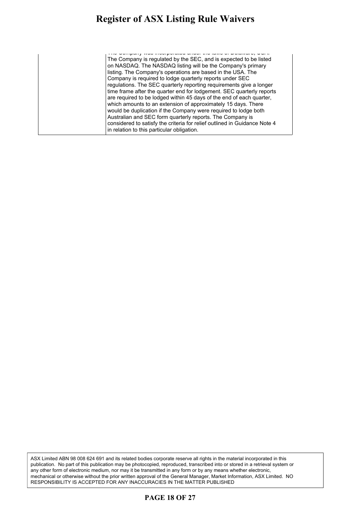#### **Register of ASX Listing Rule Waivers** gistel of  $A$ 5 $A$  listing nuit waivers.

The Company was incorporated under the laws of Delaware, USA. The Company is regulated by the SEC, and is expected to be listed on NASDAQ. The NASDAQ listing will be the Company's primary listing. The Company's operations are based in the USA. The Company is required to lodge quarterly reports under SEC regulations. The SEC quarterly reporting requirements give a longer time frame after the quarter end for lodgement. SEC quarterly reports are required to be lodged within 45 days of the end of each quarter, which amounts to an extension of approximately 15 days. There would be duplication if the Company were required to lodge both Australian and SEC form quarterly reports. The Company is considered to satisfy the criteria for relief outlined in Guidance Note 4 in relation to this particular obligation.

ASX Limited ABN 98 008 624 691 and its related bodies corporate reserve all rights in the material incorporated in this publication. No part of this publication may be photocopied, reproduced, transcribed into or stored in a retrieval system or any other form of electronic medium, nor may it be transmitted in any form or by any means whether electronic, mechanical or otherwise without the prior written approval of the General Manager, Market Information, ASX Limited. NO RESPONSIBILITY IS ACCEPTED FOR ANY INACCURACIES IN THE MATTER PUBLISHED

#### **PAGE 18 OF 27**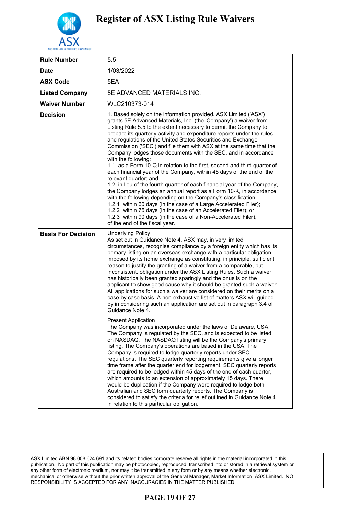

| <b>Rule Number</b>        | 5.5                                                                                                                                                                                                                                                                                                                                                                                                                                                                                                                                                                                                                                                                                                                                                                                                                                                                                                                                                                                                                                                                                                                                                          |
|---------------------------|--------------------------------------------------------------------------------------------------------------------------------------------------------------------------------------------------------------------------------------------------------------------------------------------------------------------------------------------------------------------------------------------------------------------------------------------------------------------------------------------------------------------------------------------------------------------------------------------------------------------------------------------------------------------------------------------------------------------------------------------------------------------------------------------------------------------------------------------------------------------------------------------------------------------------------------------------------------------------------------------------------------------------------------------------------------------------------------------------------------------------------------------------------------|
| <b>Date</b>               | 1/03/2022                                                                                                                                                                                                                                                                                                                                                                                                                                                                                                                                                                                                                                                                                                                                                                                                                                                                                                                                                                                                                                                                                                                                                    |
| <b>ASX Code</b>           | 5EA                                                                                                                                                                                                                                                                                                                                                                                                                                                                                                                                                                                                                                                                                                                                                                                                                                                                                                                                                                                                                                                                                                                                                          |
| <b>Listed Company</b>     | 5E ADVANCED MATERIALS INC.                                                                                                                                                                                                                                                                                                                                                                                                                                                                                                                                                                                                                                                                                                                                                                                                                                                                                                                                                                                                                                                                                                                                   |
| <b>Waiver Number</b>      | WLC210373-014                                                                                                                                                                                                                                                                                                                                                                                                                                                                                                                                                                                                                                                                                                                                                                                                                                                                                                                                                                                                                                                                                                                                                |
| <b>Decision</b>           | 1. Based solely on the information provided, ASX Limited ('ASX')<br>grants 5E Advanced Materials, Inc. (the 'Company') a waiver from<br>Listing Rule 5.5 to the extent necessary to permit the Company to<br>prepare its quarterly activity and expenditure reports under the rules<br>and regulations of the United States Securities and Exchange<br>Commission ('SEC') and file them with ASX at the same time that the<br>Company lodges those documents with the SEC, and in accordance<br>with the following:<br>1.1 as a Form 10-Q in relation to the first, second and third quarter of<br>each financial year of the Company, within 45 days of the end of the<br>relevant quarter; and<br>1.2 in lieu of the fourth quarter of each financial year of the Company,<br>the Company lodges an annual report as a Form 10-K, in accordance<br>with the following depending on the Company's classification:<br>1.2.1 within 60 days (in the case of a Large Accelerated Filer);<br>1.2.2 within 75 days (in the case of an Accelerated Filer); or<br>1.2.3 within 90 days (in the case of a Non-Accelerated Filer),<br>of the end of the fiscal year. |
| <b>Basis For Decision</b> | <b>Underlying Policy</b><br>As set out in Guidance Note 4, ASX may, in very limited<br>circumstances, recognise compliance by a foreign entity which has its<br>primary listing on an overseas exchange with a particular obligation<br>imposed by its home exchange as constituting, in principle, sufficient<br>reason to justify the granting of a waiver from a comparable, but<br>inconsistent, obligation under the ASX Listing Rules. Such a waiver<br>has historically been granted sparingly and the onus is on the<br>applicant to show good cause why it should be granted such a waiver.<br>All applications for such a waiver are considered on their merits on a<br>case by case basis. A non-exhaustive list of matters ASX will guided<br>by in considering such an application are set out in paragraph 3.4 of<br>Guidance Note 4.<br><b>Present Application</b>                                                                                                                                                                                                                                                                            |
|                           | The Company was incorporated under the laws of Delaware, USA.<br>The Company is regulated by the SEC, and is expected to be listed<br>on NASDAQ. The NASDAQ listing will be the Company's primary<br>listing. The Company's operations are based in the USA. The<br>Company is required to lodge quarterly reports under SEC<br>regulations. The SEC quarterly reporting requirements give a longer<br>time frame after the quarter end for lodgement. SEC quarterly reports<br>are required to be lodged within 45 days of the end of each quarter,<br>which amounts to an extension of approximately 15 days. There<br>would be duplication if the Company were required to lodge both<br>Australian and SEC form quarterly reports. The Company is<br>considered to satisfy the criteria for relief outlined in Guidance Note 4<br>in relation to this particular obligation.                                                                                                                                                                                                                                                                             |

### **PAGE 19 OF 27**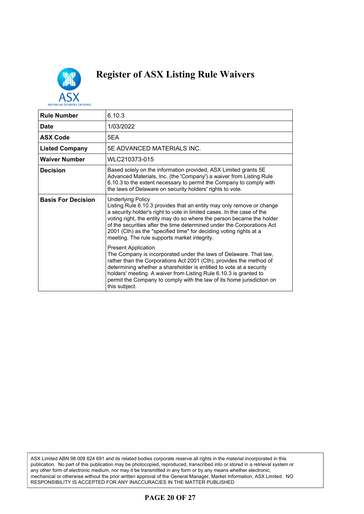

| <b>Rule Number</b>        | 6.10.3                                                                                                                                                                                                                                                                                                                                                                                                                                               |
|---------------------------|------------------------------------------------------------------------------------------------------------------------------------------------------------------------------------------------------------------------------------------------------------------------------------------------------------------------------------------------------------------------------------------------------------------------------------------------------|
| <b>Date</b>               | 1/03/2022                                                                                                                                                                                                                                                                                                                                                                                                                                            |
| <b>ASX Code</b>           | 5EA                                                                                                                                                                                                                                                                                                                                                                                                                                                  |
| <b>Listed Company</b>     | 5E ADVANCED MATERIALS INC.                                                                                                                                                                                                                                                                                                                                                                                                                           |
| <b>Waiver Number</b>      | WLC210373-015                                                                                                                                                                                                                                                                                                                                                                                                                                        |
| <b>Decision</b>           | Based solely on the information provided, ASX Limited grants 5E<br>Advanced Materials, Inc. (the 'Company') a waiver from Listing Rule<br>6.10.3 to the extent necessary to permit the Company to comply with<br>the laws of Delaware on security holders' rights to vote.                                                                                                                                                                           |
| <b>Basis For Decision</b> | <b>Underlying Policy</b><br>Listing Rule 6.10.3 provides that an entity may only remove or change<br>a security holder's right to vote in limited cases. In the case of the<br>voting right, the entity may do so where the person became the holder<br>of the securities after the time determined under the Corporations Act<br>2001 (Cth) as the "specified time" for deciding voting rights at a<br>meeting. The rule supports market integrity. |
|                           | <b>Present Application</b><br>The Company is incorporated under the laws of Delaware. That law,<br>rather than the Corporations Act 2001 (Cth), provides the method of<br>determining whether a shareholder is entitled to vote at a security<br>holders' meeting. A waiver from Listing Rule 6.10.3 is granted to<br>permit the Company to comply with the law of its home jurisdiction on<br>this subject.                                         |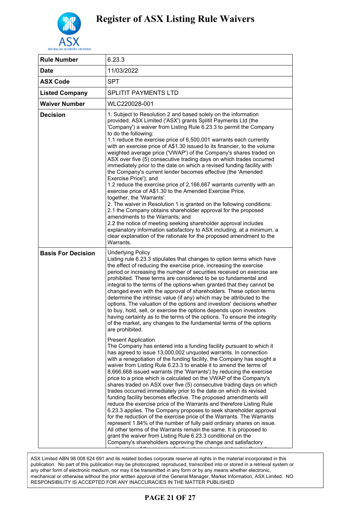

| <b>Rule Number</b>        | 6.23.3                                                                                                                                                                                                                                                                                                                                                                                                                                                                                                                                                                                                                                                                                                                                                                                                                                                                                                                                                                                                                                                                                                                                                                                                                                                                           |
|---------------------------|----------------------------------------------------------------------------------------------------------------------------------------------------------------------------------------------------------------------------------------------------------------------------------------------------------------------------------------------------------------------------------------------------------------------------------------------------------------------------------------------------------------------------------------------------------------------------------------------------------------------------------------------------------------------------------------------------------------------------------------------------------------------------------------------------------------------------------------------------------------------------------------------------------------------------------------------------------------------------------------------------------------------------------------------------------------------------------------------------------------------------------------------------------------------------------------------------------------------------------------------------------------------------------|
| <b>Date</b>               | 11/03/2022                                                                                                                                                                                                                                                                                                                                                                                                                                                                                                                                                                                                                                                                                                                                                                                                                                                                                                                                                                                                                                                                                                                                                                                                                                                                       |
| <b>ASX Code</b>           | SPT                                                                                                                                                                                                                                                                                                                                                                                                                                                                                                                                                                                                                                                                                                                                                                                                                                                                                                                                                                                                                                                                                                                                                                                                                                                                              |
| <b>Listed Company</b>     | <b>SPLITIT PAYMENTS LTD</b>                                                                                                                                                                                                                                                                                                                                                                                                                                                                                                                                                                                                                                                                                                                                                                                                                                                                                                                                                                                                                                                                                                                                                                                                                                                      |
| <b>Waiver Number</b>      | WLC220028-001                                                                                                                                                                                                                                                                                                                                                                                                                                                                                                                                                                                                                                                                                                                                                                                                                                                                                                                                                                                                                                                                                                                                                                                                                                                                    |
| <b>Decision</b>           | 1. Subject to Resolution 2 and based solely on the information<br>provided, ASX Limited ('ASX') grants Splitit Payments Ltd (the<br>'Company') a waiver from Listing Rule 6.23.3 to permit the Company<br>to do the following:<br>1.1 reduce the exercise price of 6,500,001 warrants each currently<br>with an exercise price of A\$1.30 issued to its financier, to the volume<br>weighted average price ('VWAP') of the Company's shares traded on<br>ASX over five (5) consecutive trading days on which trades occurred<br>immediately prior to the date on which a revised funding facility with<br>the Company's current lender becomes effective (the 'Amended<br>Exercise Price'); and<br>1.2 reduce the exercise price of 2,166,667 warrants currently with an<br>exercise price of A\$1.30 to the Amended Exercise Price,<br>together, the 'Warrants'.<br>2. The waiver in Resolution 1 is granted on the following conditions:<br>2.1 the Company obtains shareholder approval for the proposed<br>amendments to the Warrants; and<br>2.2 the notice of meeting seeking shareholder approval includes<br>explanatory information satisfactory to ASX including, at a minimum, a<br>clear explanation of the rationale for the proposed amendment to the<br>Warrants. |
| <b>Basis For Decision</b> | <b>Underlying Policy</b><br>Listing rule 6.23.3 stipulates that changes to option terms which have<br>the effect of reducing the exercise price, increasing the exercise<br>period or increasing the number of securities received on exercise are<br>prohibited. These terms are considered to be so fundamental and<br>integral to the terms of the options when granted that they cannot be<br>changed even with the approval of shareholders. These option terms<br>determine the intrinsic value (if any) which may be attributed to the<br>options. The valuation of the options and investors' decisions whether<br>to buy, hold, sell, or exercise the options depends upon investors<br>having certainty as to the terms of the options. To ensure the integrity<br>of the market, any changes to the fundamental terms of the options<br>are prohibited.<br><b>Present Application</b><br>The Company has entered into a funding facility pursuant to which it<br>has agreed to issue 13,000,002 unquoted warrants. In connection                                                                                                                                                                                                                                      |
|                           | with a renegotiation of the funding facility, the Company has sought a<br>waiver from Listing Rule 6.23.3 to enable it to amend the terms of<br>8,666,668 issued warrants (the 'Warrants') by reducing the exercise<br>price to a price which is calculated on the VWAP of the Company's<br>shares traded on ASX over five (5) consecutive trading days on which<br>trades occurred immediately prior to the date on which its revised<br>funding facility becomes effective. The proposed amendments will<br>reduce the exercise price of the Warrants and therefore Listing Rule<br>6.23.3 applies. The Company proposes to seek shareholder approval<br>for the reduction of the exercise price of the Warrants. The Warrants<br>represent 1.84% of the number of fully paid ordinary shares on issue.<br>All other terms of the Warrants remain the same. It is proposed to<br>grant the waiver from Listing Rule 6.23.3 conditional on the<br>Company's shareholders approving the change and satisfactory                                                                                                                                                                                                                                                                  |

### **PAGE 21 OF 27**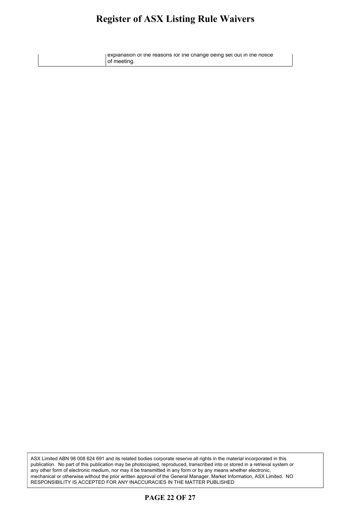#### **Register of ASX Listing Rule Waivers**  $\alpha$ ister of ASV Listing Rule Waivers for the reduction of the exercise price of the Warrants.

explanation of the reasons for the change being set out in the notice of meeting.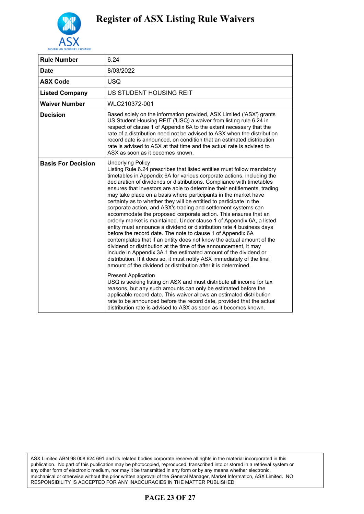

| <b>Rule Number</b>        | 6.24                                                                                                                                                                                                                                                                                                                                                                                                                                                                                                                                                                                                                                                                                                                                                                                                                                                                                                                                                                                                                                                                                                                                                                                                                                                                                                                                                                                                                                                                                                                                                                                          |
|---------------------------|-----------------------------------------------------------------------------------------------------------------------------------------------------------------------------------------------------------------------------------------------------------------------------------------------------------------------------------------------------------------------------------------------------------------------------------------------------------------------------------------------------------------------------------------------------------------------------------------------------------------------------------------------------------------------------------------------------------------------------------------------------------------------------------------------------------------------------------------------------------------------------------------------------------------------------------------------------------------------------------------------------------------------------------------------------------------------------------------------------------------------------------------------------------------------------------------------------------------------------------------------------------------------------------------------------------------------------------------------------------------------------------------------------------------------------------------------------------------------------------------------------------------------------------------------------------------------------------------------|
| <b>Date</b>               | 8/03/2022                                                                                                                                                                                                                                                                                                                                                                                                                                                                                                                                                                                                                                                                                                                                                                                                                                                                                                                                                                                                                                                                                                                                                                                                                                                                                                                                                                                                                                                                                                                                                                                     |
| <b>ASX Code</b>           | USQ                                                                                                                                                                                                                                                                                                                                                                                                                                                                                                                                                                                                                                                                                                                                                                                                                                                                                                                                                                                                                                                                                                                                                                                                                                                                                                                                                                                                                                                                                                                                                                                           |
| <b>Listed Company</b>     | US STUDENT HOUSING REIT                                                                                                                                                                                                                                                                                                                                                                                                                                                                                                                                                                                                                                                                                                                                                                                                                                                                                                                                                                                                                                                                                                                                                                                                                                                                                                                                                                                                                                                                                                                                                                       |
| <b>Waiver Number</b>      | WLC210372-001                                                                                                                                                                                                                                                                                                                                                                                                                                                                                                                                                                                                                                                                                                                                                                                                                                                                                                                                                                                                                                                                                                                                                                                                                                                                                                                                                                                                                                                                                                                                                                                 |
| <b>Decision</b>           | Based solely on the information provided, ASX Limited ('ASX') grants<br>US Student Housing REIT ('USQ) a waiver from listing rule 6.24 in<br>respect of clause 1 of Appendix 6A to the extent necessary that the<br>rate of a distribution need not be advised to ASX when the distribution<br>record date is announced, on condition that an estimated distribution<br>rate is advised to ASX at that time and the actual rate is advised to<br>ASX as soon as it becomes known.                                                                                                                                                                                                                                                                                                                                                                                                                                                                                                                                                                                                                                                                                                                                                                                                                                                                                                                                                                                                                                                                                                             |
| <b>Basis For Decision</b> | <b>Underlying Policy</b><br>Listing Rule 6.24 prescribes that listed entities must follow mandatory<br>timetables in Appendix 6A for various corporate actions, including the<br>declaration of dividends or distributions. Compliance with timetables<br>ensures that investors are able to determine their entitlements, trading<br>may take place on a basis where participants in the market have<br>certainty as to whether they will be entitled to participate in the<br>corporate action, and ASX's trading and settlement systems can<br>accommodate the proposed corporate action. This ensures that an<br>orderly market is maintained. Under clause 1 of Appendix 6A, a listed<br>entity must announce a dividend or distribution rate 4 business days<br>before the record date. The note to clause 1 of Appendix 6A<br>contemplates that if an entity does not know the actual amount of the<br>dividend or distribution at the time of the announcement, it may<br>include in Appendix 3A.1 the estimated amount of the dividend or<br>distribution. If it does so, it must notify ASX immediately of the final<br>amount of the dividend or distribution after it is determined.<br><b>Present Application</b><br>USQ is seeking listing on ASX and must distribute all income for tax<br>reasons, but any such amounts can only be estimated before the<br>applicable record date. This waiver allows an estimated distribution<br>rate to be announced before the record date, provided that the actual<br>distribution rate is advised to ASX as soon as it becomes known. |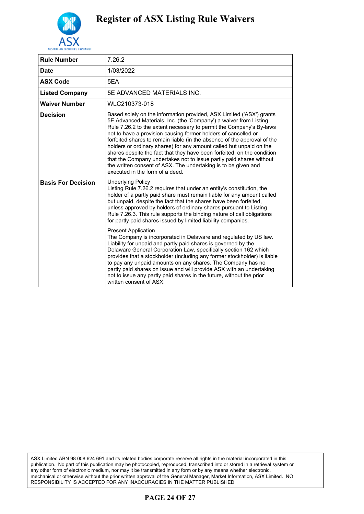

| <b>Rule Number</b>        | 7.26.2                                                                                                                                                                                                                                                                                                                                                                                                                                                                                                                                                                                                                                                                                       |
|---------------------------|----------------------------------------------------------------------------------------------------------------------------------------------------------------------------------------------------------------------------------------------------------------------------------------------------------------------------------------------------------------------------------------------------------------------------------------------------------------------------------------------------------------------------------------------------------------------------------------------------------------------------------------------------------------------------------------------|
| <b>Date</b>               | 1/03/2022                                                                                                                                                                                                                                                                                                                                                                                                                                                                                                                                                                                                                                                                                    |
| <b>ASX Code</b>           | 5EA                                                                                                                                                                                                                                                                                                                                                                                                                                                                                                                                                                                                                                                                                          |
| <b>Listed Company</b>     | 5E ADVANCED MATERIALS INC.                                                                                                                                                                                                                                                                                                                                                                                                                                                                                                                                                                                                                                                                   |
| <b>Waiver Number</b>      | WLC210373-018                                                                                                                                                                                                                                                                                                                                                                                                                                                                                                                                                                                                                                                                                |
| <b>Decision</b>           | Based solely on the information provided, ASX Limited ('ASX') grants<br>5E Advanced Materials, Inc. (the 'Company') a waiver from Listing<br>Rule 7.26.2 to the extent necessary to permit the Company's By-laws<br>not to have a provision causing former holders of cancelled or<br>forfeited shares to remain liable (in the absence of the approval of the<br>holders or ordinary shares) for any amount called but unpaid on the<br>shares despite the fact that they have been forfeited, on the condition<br>that the Company undertakes not to issue partly paid shares without<br>the written consent of ASX. The undertaking is to be given and<br>executed in the form of a deed. |
| <b>Basis For Decision</b> | <b>Underlying Policy</b><br>Listing Rule 7.26.2 requires that under an entity's constitution, the<br>holder of a partly paid share must remain liable for any amount called<br>but unpaid, despite the fact that the shares have been forfeited,<br>unless approved by holders of ordinary shares pursuant to Listing<br>Rule 7.26.3. This rule supports the binding nature of call obligations<br>for partly paid shares issued by limited liability companies.                                                                                                                                                                                                                             |
|                           | <b>Present Application</b><br>The Company is incorporated in Delaware and regulated by US law.<br>Liability for unpaid and partly paid shares is governed by the<br>Delaware General Corporation Law, specifically section 162 which<br>provides that a stockholder (including any former stockholder) is liable<br>to pay any unpaid amounts on any shares. The Company has no<br>partly paid shares on issue and will provide ASX with an undertaking<br>not to issue any partly paid shares in the future, without the prior<br>written consent of ASX.                                                                                                                                   |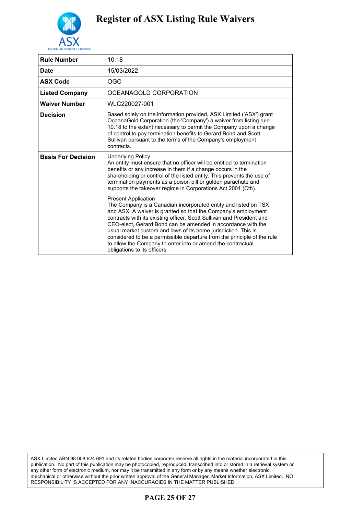

| <b>Rule Number</b>        | 10.18                                                                                                                                                                                                                                                                                                                                                                                                                                                                                                                                               |
|---------------------------|-----------------------------------------------------------------------------------------------------------------------------------------------------------------------------------------------------------------------------------------------------------------------------------------------------------------------------------------------------------------------------------------------------------------------------------------------------------------------------------------------------------------------------------------------------|
| <b>Date</b>               | 15/03/2022                                                                                                                                                                                                                                                                                                                                                                                                                                                                                                                                          |
| <b>ASX Code</b>           | OGC                                                                                                                                                                                                                                                                                                                                                                                                                                                                                                                                                 |
| <b>Listed Company</b>     | OCEANAGOLD CORPORATION                                                                                                                                                                                                                                                                                                                                                                                                                                                                                                                              |
| <b>Waiver Number</b>      | WLC220027-001                                                                                                                                                                                                                                                                                                                                                                                                                                                                                                                                       |
| <b>Decision</b>           | Based solely on the information provided, ASX Limited ('ASX') grant<br>OceanaGold Corporation (the 'Company') a waiver from listing rule<br>10.18 to the extent necessary to permit the Company upon a change<br>of control to pay termination benefits to Gerard Bond and Scott<br>Sullivan pursuant to the terms of the Company's employment<br>contracts.                                                                                                                                                                                        |
| <b>Basis For Decision</b> | <b>Underlying Policy</b><br>An entity must ensure that no officer will be entitled to termination<br>benefits or any increase in them if a change occurs in the<br>shareholding or control of the listed entity. This prevents the use of<br>termination payments as a poison pill or golden parachute and<br>supports the takeover regime in Corporations Act 2001 (Cth).                                                                                                                                                                          |
|                           | <b>Present Application</b><br>The Company is a Canadian incorporated entity and listed on TSX<br>and ASX. A waiver is granted so that the Company's employment<br>contracts with its existing officer, Scott Sullivan and President and<br>CEO-elect. Gerard Bond can be amended in accordance with the<br>usual market custom and laws of its home jurisdiction. This is<br>considered to be a permissible departure from the principle of the rule<br>to allow the Company to enter into or amend the contractual<br>obligations to its officers. |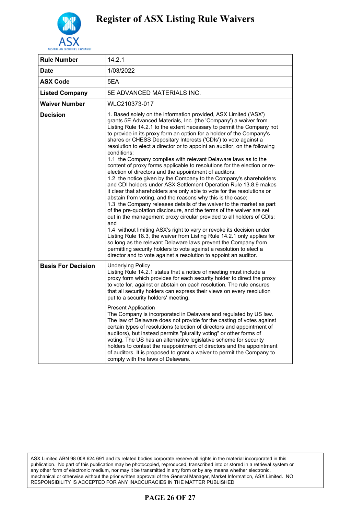

| <b>Rule Number</b>        | 14.2.1                                                                                                                                                                                                                                                                                                                                                                                                                                                                                                                                                                                                                                                                                                                                                                                                                                                                                                                                                                                                                                                                                                                                                                                                                                                                                                                                                                                                                                                                                                                                          |
|---------------------------|-------------------------------------------------------------------------------------------------------------------------------------------------------------------------------------------------------------------------------------------------------------------------------------------------------------------------------------------------------------------------------------------------------------------------------------------------------------------------------------------------------------------------------------------------------------------------------------------------------------------------------------------------------------------------------------------------------------------------------------------------------------------------------------------------------------------------------------------------------------------------------------------------------------------------------------------------------------------------------------------------------------------------------------------------------------------------------------------------------------------------------------------------------------------------------------------------------------------------------------------------------------------------------------------------------------------------------------------------------------------------------------------------------------------------------------------------------------------------------------------------------------------------------------------------|
| Date                      | 1/03/2022                                                                                                                                                                                                                                                                                                                                                                                                                                                                                                                                                                                                                                                                                                                                                                                                                                                                                                                                                                                                                                                                                                                                                                                                                                                                                                                                                                                                                                                                                                                                       |
| <b>ASX Code</b>           | 5EA                                                                                                                                                                                                                                                                                                                                                                                                                                                                                                                                                                                                                                                                                                                                                                                                                                                                                                                                                                                                                                                                                                                                                                                                                                                                                                                                                                                                                                                                                                                                             |
| <b>Listed Company</b>     | 5E ADVANCED MATERIALS INC.                                                                                                                                                                                                                                                                                                                                                                                                                                                                                                                                                                                                                                                                                                                                                                                                                                                                                                                                                                                                                                                                                                                                                                                                                                                                                                                                                                                                                                                                                                                      |
| <b>Waiver Number</b>      | WLC210373-017                                                                                                                                                                                                                                                                                                                                                                                                                                                                                                                                                                                                                                                                                                                                                                                                                                                                                                                                                                                                                                                                                                                                                                                                                                                                                                                                                                                                                                                                                                                                   |
| <b>Decision</b>           | 1. Based solely on the information provided, ASX Limited ('ASX')<br>grants 5E Advanced Materials, Inc. (the 'Company') a waiver from<br>Listing Rule 14.2.1 to the extent necessary to permit the Company not<br>to provide in its proxy form an option for a holder of the Company's<br>shares or CHESS Depositary Interests ('CDIs') to vote against a<br>resolution to elect a director or to appoint an auditor, on the following<br>conditions:<br>1.1 the Company complies with relevant Delaware laws as to the<br>content of proxy forms applicable to resolutions for the election or re-<br>election of directors and the appointment of auditors;<br>1.2 the notice given by the Company to the Company's shareholders<br>and CDI holders under ASX Settlement Operation Rule 13.8.9 makes<br>it clear that shareholders are only able to vote for the resolutions or<br>abstain from voting, and the reasons why this is the case;<br>1.3 the Company releases details of the waiver to the market as part<br>of the pre-quotation disclosure, and the terms of the waiver are set<br>out in the management proxy circular provided to all holders of CDIs;<br>and<br>1.4 without limiting ASX's right to vary or revoke its decision under<br>Listing Rule 18.3, the waiver from Listing Rule 14.2.1 only applies for<br>so long as the relevant Delaware laws prevent the Company from<br>permitting security holders to vote against a resolution to elect a<br>director and to vote against a resolution to appoint an auditor. |
| <b>Basis For Decision</b> | <b>Underlying Policy</b><br>Listing Rule 14.2.1 states that a notice of meeting must include a<br>proxy form which provides for each security holder to direct the proxy<br>to vote for, against or abstain on each resolution. The rule ensures<br>that all security holders can express their views on every resolution<br>put to a security holders' meeting.<br><b>Present Application</b><br>The Company is incorporated in Delaware and regulated by US law.<br>The law of Delaware does not provide for the casting of votes against<br>certain types of resolutions (election of directors and appointment of<br>auditors), but instead permits "plurality voting" or other forms of<br>voting. The US has an alternative legislative scheme for security<br>holders to contest the reappointment of directors and the appointment<br>of auditors. It is proposed to grant a waiver to permit the Company to<br>comply with the laws of Delaware.                                                                                                                                                                                                                                                                                                                                                                                                                                                                                                                                                                                       |